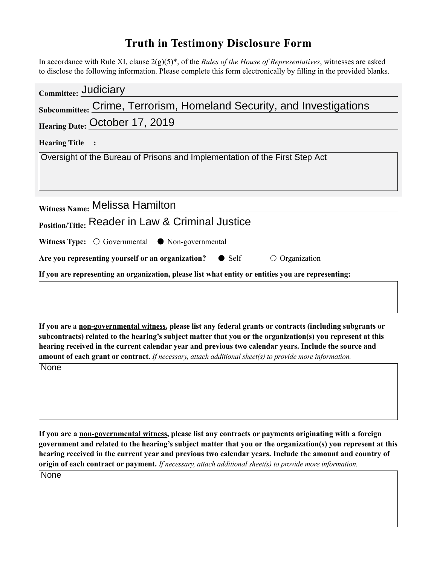## **Truth in Testimony Disclosure Form**

In accordance with Rule XI, clause 2(g)(5)\*, of the *Rules of the House of Representatives*, witnesses are asked to disclose the following information. Please complete this form electronically by filling in the provided blanks.

| Committee: Judiciary                                                                               |
|----------------------------------------------------------------------------------------------------|
| Subcommittee: Crime, Terrorism, Homeland Security, and Investigations                              |
| Hearing Date: October 17, 2019                                                                     |
| <b>Hearing Title</b>                                                                               |
| Oversight of the Bureau of Prisons and Implementation of the First Step Act                        |
|                                                                                                    |
| Witness Name: Melissa Hamilton                                                                     |
| <b>Position/Title: Reader in Law &amp; Criminal Justice</b>                                        |
| <b>Witness Type:</b> $\bigcirc$ Governmental $\bullet$ Non-governmental                            |
| Are you representing yourself or an organization? $\bullet$ Self<br>$\circ$ Organization           |
| If you are representing an organization, please list what entity or entities you are representing: |
|                                                                                                    |
|                                                                                                    |

**If you are a non-governmental witness, please list any federal grants or contracts (including subgrants or subcontracts) related to the hearing's subject matter that you or the organization(s) you represent at this hearing received in the current calendar year and previous two calendar years. Include the source and amount of each grant or contract.** *If necessary, attach additional sheet(s) to provide more information.*

**None** 

**If you are a non-governmental witness, please list any contracts or payments originating with a foreign government and related to the hearing's subject matter that you or the organization(s) you represent at this hearing received in the current year and previous two calendar years. Include the amount and country of origin of each contract or payment.** *If necessary, attach additional sheet(s) to provide more information.*

None